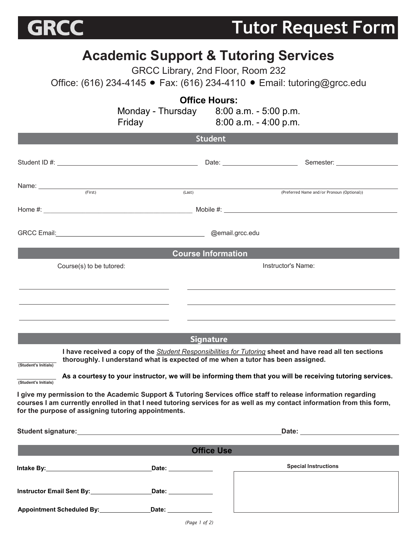

**Tutor Request Form** 

## **Academic Support & Tutoring Services**

GRCC Library, 2nd Floor, Room 232

Office: (616) 234-4145 ● Fax: (616) 234-4110 ● Email: tutoring@grcc.edu

|                          |                                                                                                                                                                                                                                          | <b>Office Hours:</b>                      |                                                                                                                  |  |  |  |  |
|--------------------------|------------------------------------------------------------------------------------------------------------------------------------------------------------------------------------------------------------------------------------------|-------------------------------------------|------------------------------------------------------------------------------------------------------------------|--|--|--|--|
|                          |                                                                                                                                                                                                                                          | Monday - Thursday $8:00$ a.m. - 5:00 p.m. |                                                                                                                  |  |  |  |  |
|                          | Friday                                                                                                                                                                                                                                   |                                           | $8:00$ a.m. $-4:00$ p.m.                                                                                         |  |  |  |  |
|                          |                                                                                                                                                                                                                                          | <b>Student</b>                            |                                                                                                                  |  |  |  |  |
|                          |                                                                                                                                                                                                                                          |                                           |                                                                                                                  |  |  |  |  |
|                          |                                                                                                                                                                                                                                          |                                           |                                                                                                                  |  |  |  |  |
|                          |                                                                                                                                                                                                                                          |                                           |                                                                                                                  |  |  |  |  |
|                          | Name: (First) (Last)                                                                                                                                                                                                                     |                                           | (Preferred Name and/or Pronoun (Optional))                                                                       |  |  |  |  |
|                          |                                                                                                                                                                                                                                          |                                           |                                                                                                                  |  |  |  |  |
|                          |                                                                                                                                                                                                                                          |                                           |                                                                                                                  |  |  |  |  |
|                          | GRCC Email: 2008 CRCC Email: 2008 CRCC Email: 2008 CRCC Email: 2008 CRCC Email: 2008 CRCC Email: 2008 CRCC Email: 2008 CRCC Email: 2018 CRCC Email: 2018 CRCC Email: 2018 CRCC Email: 2018 CRCC Email: 2018 CRCC Email: 2018 C           |                                           |                                                                                                                  |  |  |  |  |
|                          |                                                                                                                                                                                                                                          |                                           |                                                                                                                  |  |  |  |  |
|                          |                                                                                                                                                                                                                                          | <b>Course Information</b>                 |                                                                                                                  |  |  |  |  |
| Course(s) to be tutored: |                                                                                                                                                                                                                                          | Instructor's Name:                        |                                                                                                                  |  |  |  |  |
|                          |                                                                                                                                                                                                                                          |                                           |                                                                                                                  |  |  |  |  |
|                          |                                                                                                                                                                                                                                          |                                           |                                                                                                                  |  |  |  |  |
|                          |                                                                                                                                                                                                                                          |                                           | and the control of the control of the control of the control of the control of the control of the control of the |  |  |  |  |
|                          |                                                                                                                                                                                                                                          |                                           |                                                                                                                  |  |  |  |  |
|                          |                                                                                                                                                                                                                                          | <b>Signature</b>                          |                                                                                                                  |  |  |  |  |
|                          | I have received a copy of the <i>Student Responsibilities for Tutoring</i> sheet and have read all ten sections                                                                                                                          |                                           |                                                                                                                  |  |  |  |  |
| (Student's Initials)     | thoroughly. I understand what is expected of me when a tutor has been assigned.                                                                                                                                                          |                                           |                                                                                                                  |  |  |  |  |
| (Student's Initials)     | As a courtesy to your instructor, we will be informing them that you will be receiving tutoring services.                                                                                                                                |                                           |                                                                                                                  |  |  |  |  |
|                          |                                                                                                                                                                                                                                          |                                           |                                                                                                                  |  |  |  |  |
|                          | I give my permission to the Academic Support & Tutoring Services office staff to release information regarding<br>courses I am currently enrolled in that I need tutoring services for as well as my contact information from this form, |                                           |                                                                                                                  |  |  |  |  |
|                          | for the purpose of assigning tutoring appointments.                                                                                                                                                                                      |                                           |                                                                                                                  |  |  |  |  |
|                          |                                                                                                                                                                                                                                          |                                           |                                                                                                                  |  |  |  |  |
|                          |                                                                                                                                                                                                                                          |                                           |                                                                                                                  |  |  |  |  |
|                          |                                                                                                                                                                                                                                          | <b>Office Use</b>                         |                                                                                                                  |  |  |  |  |
|                          |                                                                                                                                                                                                                                          |                                           | <b>Special Instructions</b>                                                                                      |  |  |  |  |
|                          |                                                                                                                                                                                                                                          |                                           |                                                                                                                  |  |  |  |  |
|                          | Instructor Email Sent By: Date: Date:                                                                                                                                                                                                    |                                           |                                                                                                                  |  |  |  |  |
|                          | Appointment Scheduled By: ______________________Date: ____________________                                                                                                                                                               |                                           |                                                                                                                  |  |  |  |  |